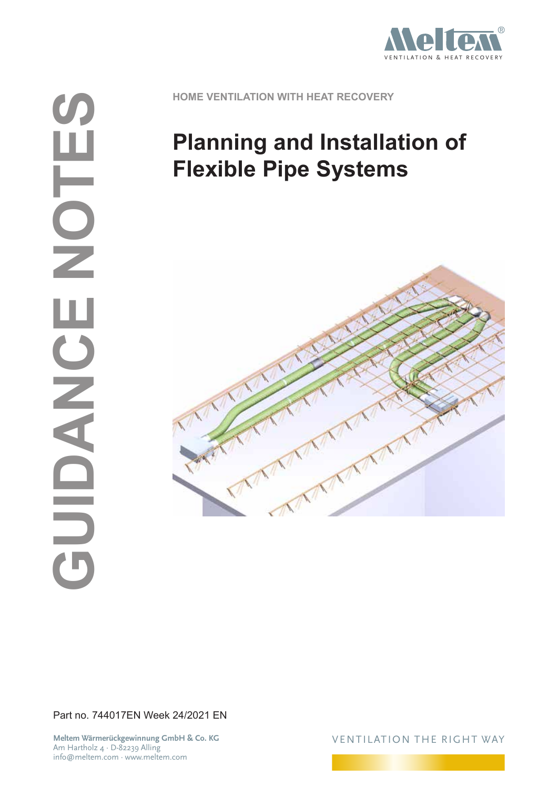

**HOME VENTILATION WITH HEAT RECOVERY**

# **Planning and Installation of Flexible Pipe Systems**



Part no. 744017EN Week 24/2021 EN

**Meltem Wärmerückgewinnung GmbH & Co. KG** Am Hartholz 4 · D-82239 Alling info@meltem.com · www.meltem.com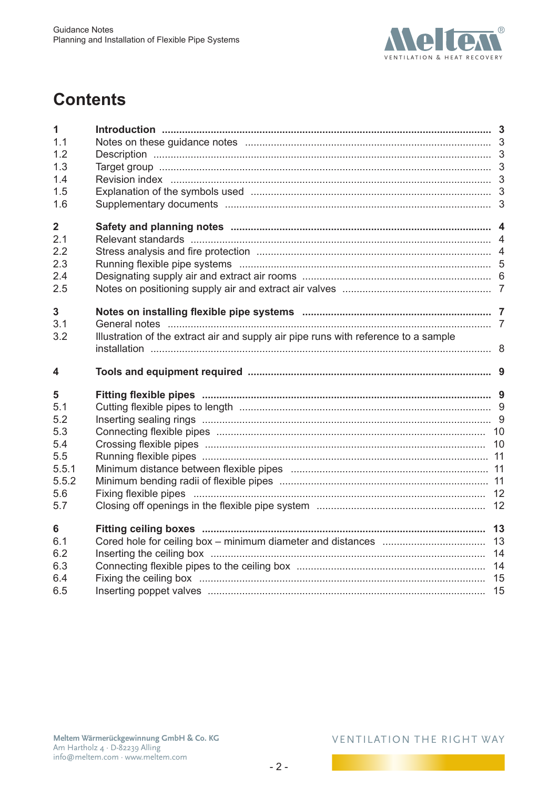

# **Contents**

| 1<br>1.1                 |                                                                                     |  |
|--------------------------|-------------------------------------------------------------------------------------|--|
| 1.2                      |                                                                                     |  |
| 1.3                      |                                                                                     |  |
| 1.4                      |                                                                                     |  |
| 1.5                      |                                                                                     |  |
| 1.6                      |                                                                                     |  |
| $\overline{\mathbf{2}}$  |                                                                                     |  |
| 2.1                      |                                                                                     |  |
| 2.2                      |                                                                                     |  |
| 2.3                      |                                                                                     |  |
| 2.4                      |                                                                                     |  |
| 2.5                      |                                                                                     |  |
| 3                        |                                                                                     |  |
| 3.1                      |                                                                                     |  |
| 3.2                      | Illustration of the extract air and supply air pipe runs with reference to a sample |  |
|                          |                                                                                     |  |
|                          |                                                                                     |  |
| 5                        |                                                                                     |  |
| 5.1                      |                                                                                     |  |
| 5.2                      |                                                                                     |  |
| 5.3                      |                                                                                     |  |
| 5.4                      |                                                                                     |  |
|                          |                                                                                     |  |
|                          |                                                                                     |  |
| 5.5.2                    |                                                                                     |  |
| 4<br>5.5<br>5.5.1<br>5.6 |                                                                                     |  |
| 5.7                      |                                                                                     |  |
| 6                        |                                                                                     |  |
| 6.1                      |                                                                                     |  |
| 6.2                      |                                                                                     |  |
| 6.3                      |                                                                                     |  |
| 6.4<br>6.5               |                                                                                     |  |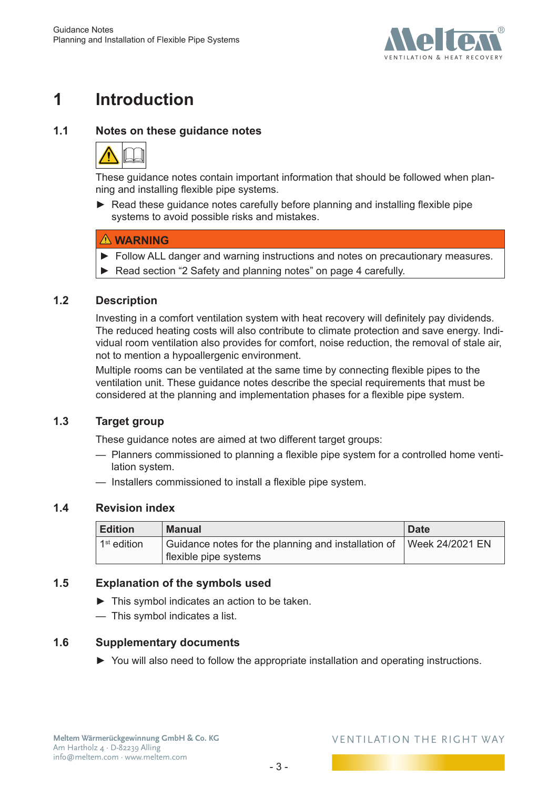

# <span id="page-2-0"></span>**1 Introduction**

### **1.1 Notes on these guidance notes**



These guidance notes contain important information that should be followed when planning and installing flexible pipe systems.

► Read these guidance notes carefully before planning and installing flexible pipe systems to avoid possible risks and mistakes.

### **WARNING**

- ► Follow ALL danger and warning instructions and notes on precautionary measures.
- ► Read section ["2 Safety and planning notes" on page](#page-3-1) 4 carefully.

### **1.2 Description**

Investing in a comfort ventilation system with heat recovery will definitely pay dividends. The reduced heating costs will also contribute to climate protection and save energy. Individual room ventilation also provides for comfort, noise reduction, the removal of stale air, not to mention a hypoallergenic environment.

Multiple rooms can be ventilated at the same time by connecting flexible pipes to the ventilation unit. These guidance notes describe the special requirements that must be considered at the planning and implementation phases for a flexible pipe system.

### **1.3 Target group**

These guidance notes are aimed at two different target groups:

- Planners commissioned to planning a flexible pipe system for a controlled home ventilation system.
- Installers commissioned to install a flexible pipe system.

### **1.4 Revision index**

| <b>Edition</b> | <b>Manual</b>                                                                | <b>Date</b>     |
|----------------|------------------------------------------------------------------------------|-----------------|
| $1st$ edition  | Guidance notes for the planning and installation of<br>flexible pipe systems | Week 24/2021 EN |

### **1.5 Explanation of the symbols used**

- ► This symbol indicates an action to be taken.
- This symbol indicates a list.

### **1.6 Supplementary documents**

► You will also need to follow the appropriate installation and operating instructions.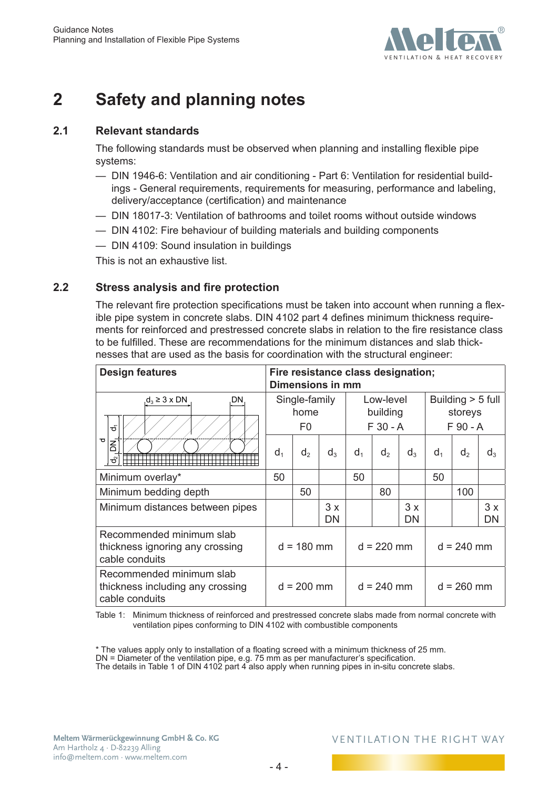

# <span id="page-3-0"></span>**2 Safety and planning notes**

### **2.1 Relevant standards**

<span id="page-3-1"></span>The following standards must be observed when planning and installing flexible pipe systems:

- DIN 1946-6: Ventilation and air conditioning Part 6: Ventilation for residential buildings - General requirements, requirements for measuring, performance and labeling, delivery/acceptance (certification) and maintenance
- DIN 18017-3: Ventilation of bathrooms and toilet rooms without outside windows
- DIN 4102: Fire behaviour of building materials and building components
- DIN 4109: Sound insulation in buildings

This is not an exhaustive list.

### **2.2 Stress analysis and fire protection**

The relevant fire protection specifications must be taken into account when running a flexible pipe system in concrete slabs. DIN 4102 part 4 defines minimum thickness requirements for reinforced and prestressed concrete slabs in relation to the fire resistance class to be fulfilled. These are recommendations for the minimum distances and slab thicknesses that are used as the basis for coordination with the structural engineer:

| <b>Design features</b>                                                         |                | Fire resistance class designation;<br>Dimensions in mm |                 |                                    |                |          |                                            |                |          |  |  |
|--------------------------------------------------------------------------------|----------------|--------------------------------------------------------|-----------------|------------------------------------|----------------|----------|--------------------------------------------|----------------|----------|--|--|
| $d_3 \geq 3 \times DN$<br>DΝ<br>ਠੰ                                             |                | Single-family<br>home<br>F0                            |                 | Low-level<br>building<br>$F30 - A$ |                |          | Building $> 5$ full<br>storeys<br>F 90 - A |                |          |  |  |
| $\overline{\sigma}$<br>$\overline{5}$<br>ಕೆ                                    | d <sub>1</sub> | d <sub>2</sub>                                         | $d_3$           | $d_1$                              | d <sub>2</sub> | $d_3$    | $d_1$                                      | d <sub>2</sub> | $d_3$    |  |  |
| Minimum overlay*                                                               |                |                                                        |                 | 50                                 |                |          | 50                                         |                |          |  |  |
| Minimum bedding depth                                                          |                | 50                                                     |                 |                                    | 80             |          |                                            | 100            |          |  |  |
| Minimum distances between pipes                                                |                |                                                        | 3x<br><b>DN</b> |                                    |                | 3x<br>DN |                                            |                | 3x<br>DN |  |  |
| Recommended minimum slab<br>thickness ignoring any crossing<br>cable conduits  |                | $d = 180$ mm                                           |                 | $d = 220$ mm                       |                |          | $d = 240$ mm                               |                |          |  |  |
| Recommended minimum slab<br>thickness including any crossing<br>cable conduits |                | $d = 200$ mm                                           |                 |                                    | $d = 240$ mm   |          |                                            | $d = 260$ mm   |          |  |  |

<span id="page-3-2"></span>Table 1: Minimum thickness of reinforced and prestressed concrete slabs made from normal concrete with ventilation pipes conforming to DIN 4102 with combustible components

\* The values apply only to installation of a floating screed with a minimum thickness of 25 mm. DN = Diameter of the ventilation pipe, e.g. 75 mm as per manufacturer's specification.

The details in Table 1 of DIN 4102 part 4 also apply when running pipes in in-situ concrete slabs.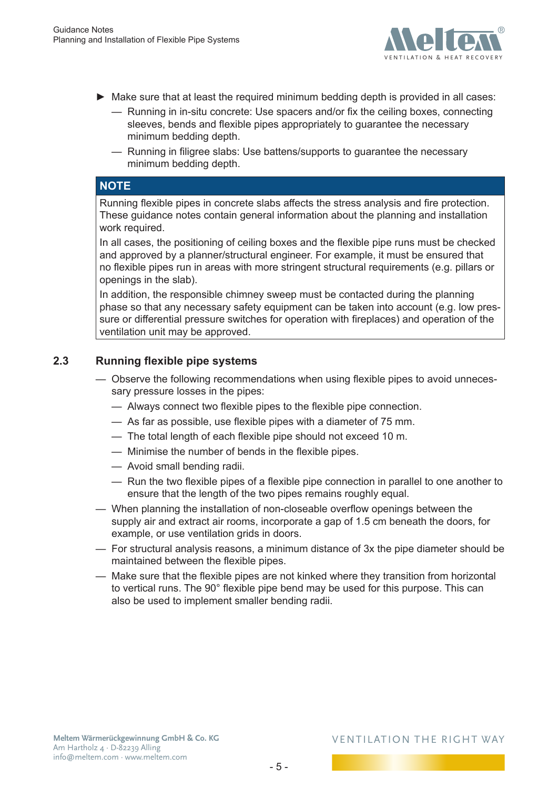

- <span id="page-4-0"></span>► Make sure that at least the required minimum bedding depth is provided in all cases:
	- Running in in-situ concrete: Use spacers and/or fix the ceiling boxes, connecting sleeves, bends and flexible pipes appropriately to guarantee the necessary minimum bedding depth.
	- Running in filigree slabs: Use battens/supports to guarantee the necessary minimum bedding depth.

### **NOTE**

Running flexible pipes in concrete slabs affects the stress analysis and fire protection. These guidance notes contain general information about the planning and installation work required.

In all cases, the positioning of ceiling boxes and the flexible pipe runs must be checked and approved by a planner/structural engineer. For example, it must be ensured that no flexible pipes run in areas with more stringent structural requirements (e.g. pillars or openings in the slab).

In addition, the responsible chimney sweep must be contacted during the planning phase so that any necessary safety equipment can be taken into account (e.g. low pressure or differential pressure switches for operation with fireplaces) and operation of the ventilation unit may be approved.

### **2.3 Running flexible pipe systems**

- Observe the following recommendations when using flexible pipes to avoid unnecessary pressure losses in the pipes:
	- Always connect two flexible pipes to the flexible pipe connection.
	- As far as possible, use flexible pipes with a diameter of 75 mm.
	- The total length of each flexible pipe should not exceed 10 m.
	- Minimise the number of bends in the flexible pipes.
	- Avoid small bending radii.
	- Run the two flexible pipes of a flexible pipe connection in parallel to one another to ensure that the length of the two pipes remains roughly equal.
- When planning the installation of non-closeable overflow openings between the supply air and extract air rooms, incorporate a gap of 1.5 cm beneath the doors, for example, or use ventilation grids in doors.
- For structural analysis reasons, a minimum distance of 3x the pipe diameter should be maintained between the flexible pipes.
- Make sure that the flexible pipes are not kinked where they transition from horizontal to vertical runs. The 90° flexible pipe bend may be used for this purpose. This can also be used to implement smaller bending radii.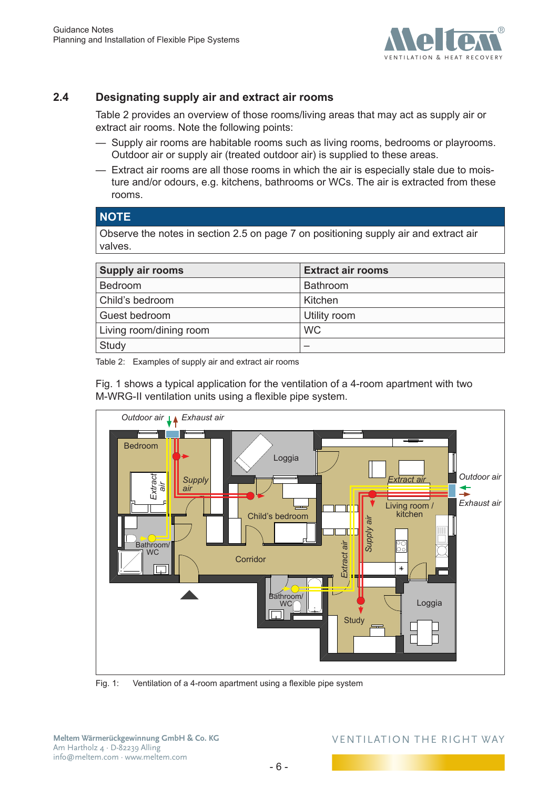

### <span id="page-5-0"></span>**2.4 Designating supply air and extract air rooms**

[Table](#page-5-1) 2 provides an overview of those rooms/living areas that may act as supply air or extract air rooms. Note the following points:

- Supply air rooms are habitable rooms such as living rooms, bedrooms or playrooms. Outdoor air or supply air (treated outdoor air) is supplied to these areas.
- Extract air rooms are all those rooms in which the air is especially stale due to moisture and/or odours, e.g. kitchens, bathrooms or WCs. The air is extracted from these rooms.

### **NOTE**

Observe the notes in section [2.5 on page](#page-6-1) 7 on positioning supply air and extract air valves.

| <b>Supply air rooms</b> | <b>Extract air rooms</b> |
|-------------------------|--------------------------|
| <b>Bedroom</b>          | Bathroom                 |
| Child's bedroom         | Kitchen                  |
| Guest bedroom           | Utility room             |
| Living room/dining room | <b>WC</b>                |
| Study                   |                          |

<span id="page-5-1"></span>Table 2: Examples of supply air and extract air rooms

[Fig.](#page-5-2) 1 shows a typical application for the ventilation of a 4-room apartment with two M-WRG-II ventilation units using a flexible pipe system.



<span id="page-5-2"></span>Fig. 1: Ventilation of a 4-room apartment using a flexible pipe system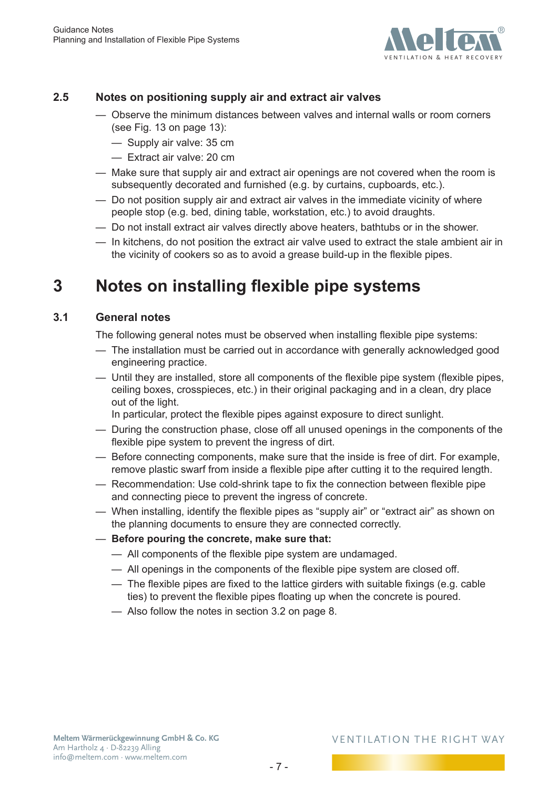

### <span id="page-6-0"></span>**2.5 Notes on positioning supply air and extract air valves**

- <span id="page-6-1"></span>— Observe the minimum distances between valves and internal walls or room corners (see Fig. 13 on [page](#page-12-1) 13):
	- Supply air valve: 35 cm
	- Extract air valve: 20 cm
- Make sure that supply air and extract air openings are not covered when the room is subsequently decorated and furnished (e.g. by curtains, cupboards, etc.).
- Do not position supply air and extract air valves in the immediate vicinity of where people stop (e.g. bed, dining table, workstation, etc.) to avoid draughts.
- Do not install extract air valves directly above heaters, bathtubs or in the shower.
- In kitchens, do not position the extract air valve used to extract the stale ambient air in the vicinity of cookers so as to avoid a grease build-up in the flexible pipes.

# **3 Notes on installing flexible pipe systems**

### **3.1 General notes**

The following general notes must be observed when installing flexible pipe systems:

- The installation must be carried out in accordance with generally acknowledged good engineering practice.
- Until they are installed, store all components of the flexible pipe system (flexible pipes, ceiling boxes, crosspieces, etc.) in their original packaging and in a clean, dry place out of the light.
	- In particular, protect the flexible pipes against exposure to direct sunlight.
- During the construction phase, close off all unused openings in the components of the flexible pipe system to prevent the ingress of dirt.
- Before connecting components, make sure that the inside is free of dirt. For example, remove plastic swarf from inside a flexible pipe after cutting it to the required length.
- Recommendation: Use cold-shrink tape to fix the connection between flexible pipe and connecting piece to prevent the ingress of concrete.
- When installing, identify the flexible pipes as "supply air" or "extract air" as shown on the planning documents to ensure they are connected correctly.
- **Before pouring the concrete, make sure that:**
	- All components of the flexible pipe system are undamaged.
	- All openings in the components of the flexible pipe system are closed off.
	- The flexible pipes are fixed to the lattice girders with suitable fixings (e.g. cable ties) to prevent the flexible pipes floating up when the concrete is poured.
	- Also follow the notes in section [3.2 on page](#page-7-1) 8.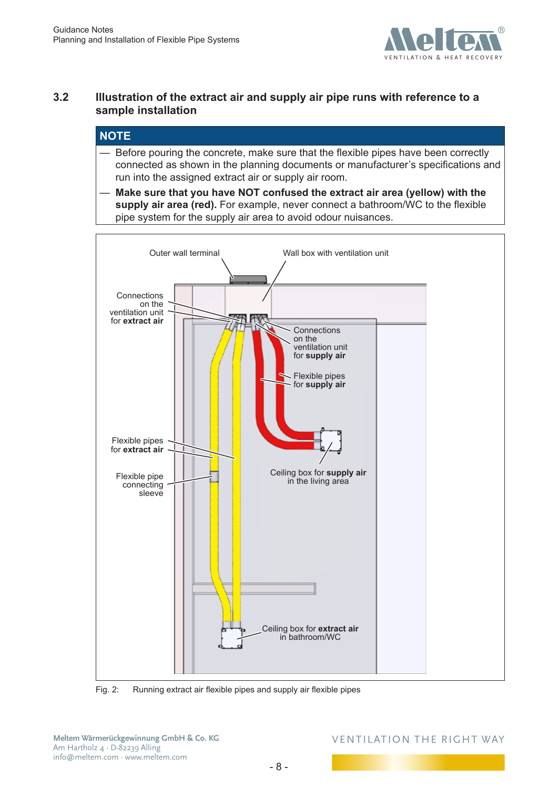

### <span id="page-7-0"></span>**3.2 Illustration of the extract air and supply air pipe runs with reference to a sample installation**

### <span id="page-7-1"></span>**NOTE**

- Before pouring the concrete, make sure that the flexible pipes have been correctly connected as shown in the planning documents or manufacturer's specifications and run into the assigned extract air or supply air room.
- **Make sure that you have NOT confused the extract air area (yellow) with the supply air area (red).** For example, never connect a bathroom/WC to the flexible pipe system for the supply air area to avoid odour nuisances.



Fig. 2: Running extract air flexible pipes and supply air flexible pipes

**Meltem Wärmerückgewinnung GmbH & Co. KG** Am Hartholz 4 · D-82239 Alling info@meltem.com · www.meltem.com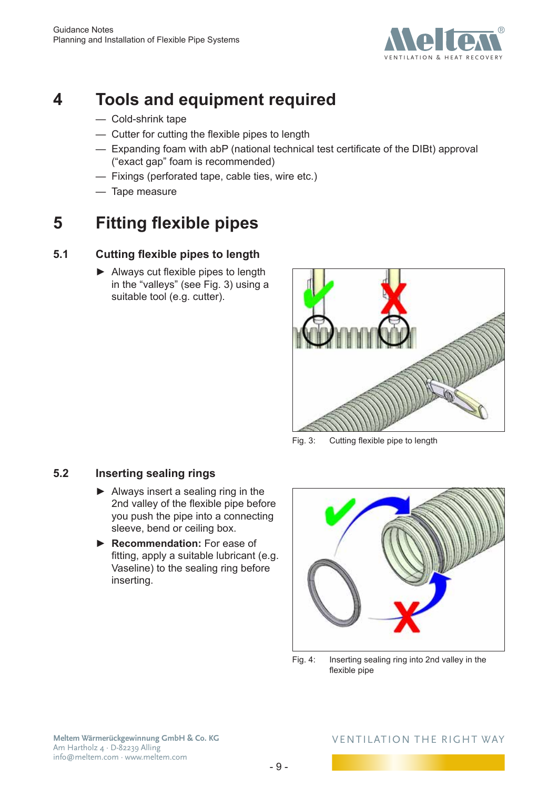

# <span id="page-8-0"></span>**4 Tools and equipment required**

- Cold-shrink tape
- Cutter for cutting the flexible pipes to length
- Expanding foam with abP (national technical test certificate of the DIBt) approval ("exact gap" foam is recommended)
- Fixings (perforated tape, cable ties, wire etc.)
- <span id="page-8-2"></span>— Tape measure

# **5 Fitting flexible pipes**

### **5.1 Cutting flexible pipes to length**

► Always cut flexible pipes to length in the "valleys" (see [Fig.](#page-8-1) 3) using a suitable tool (e.g. cutter).



Fig. 3: Cutting flexible pipe to length

### **5.2 Inserting sealing rings**

- ► Always insert a sealing ring in the 2nd valley of the flexible pipe before you push the pipe into a connecting sleeve, bend or ceiling box.
- ► **Recommendation:** For ease of fitting, apply a suitable lubricant (e.g. Vaseline) to the sealing ring before inserting.

<span id="page-8-1"></span>

Fig. 4: Inserting sealing ring into 2nd valley in the flexible pipe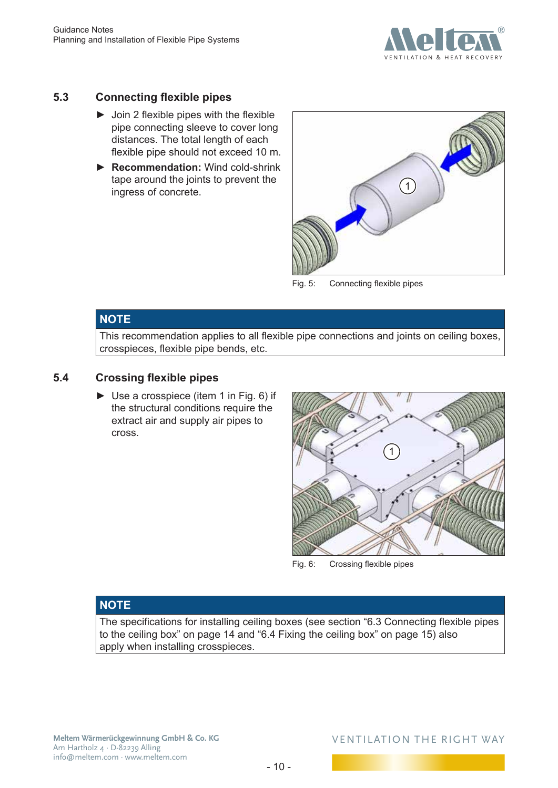

### <span id="page-9-0"></span>**5.3 Connecting flexible pipes**

- $\triangleright$  Join 2 flexible pipes with the flexible pipe connecting sleeve to cover long distances. The total length of each flexible pipe should not exceed 10 m.
- ► **Recommendation:** Wind cold-shrink tape around the joints to prevent the ingress of concrete.



Fig. 5: Connecting flexible pipes

### **NOTE**

This recommendation applies to all flexible pipe connections and joints on ceiling boxes, crosspieces, flexible pipe bends, etc.

### **5.4 Crossing flexible pipes**

► Use a crosspiece (item 1 in [Fig.](#page-9-1) 6) if the structural conditions require the extract air and supply air pipes to cross.

<span id="page-9-1"></span>

Fig. 6: Crossing flexible pipes

### **NOTE**

The specifications for installing ceiling boxes (see section "6.3 [Connecting](#page-13-1) flexible pipes to the [ceiling](#page-13-1) box" on page 14 and "6.4 Fixing the [ceiling](#page-14-1) box" on page 15) also apply when installing crosspieces.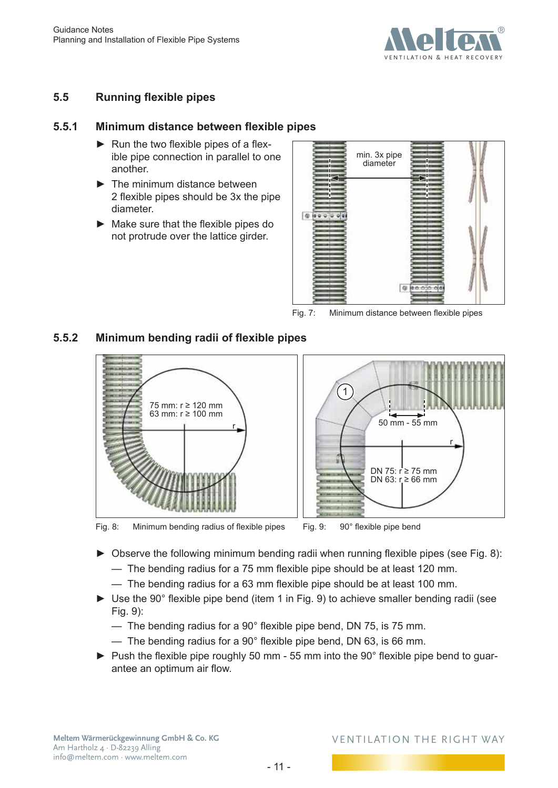

### <span id="page-10-0"></span>**5.5 Running flexible pipes**

### **5.5.1 Minimum distance between flexible pipes**

- ► Run the two flexible pipes of a flexible pipe connection in parallel to one another.
- ► The minimum distance between 2 flexible pipes should be 3x the pipe diameter.
- ► Make sure that the flexible pipes do not protrude over the lattice girder.



Fig. 7: Minimum distance between flexible pipes

### **5.5.2 Minimum bending radii of flexible pipes**



<span id="page-10-1"></span>Fig. 8: Minimum bending radius of flexible pipes

<span id="page-10-2"></span>

- ► Observe the following minimum bending radii when running flexible pipes (see [Fig.](#page-10-1) 8):
	- The bending radius for a 75 mm flexible pipe should be at least 120 mm.
	- The bending radius for a 63 mm flexible pipe should be at least 100 mm.
- ► Use the 90° flexible pipe bend (item 1 in [Fig.](#page-10-2) 9) to achieve smaller bending radii (see [Fig.](#page-10-2) 9):
	- $-$  The bending radius for a 90 $^{\circ}$  flexible pipe bend, DN 75, is 75 mm.
	- $-$  The bending radius for a 90 $^{\circ}$  flexible pipe bend, DN 63, is 66 mm.
- ► Push the flexible pipe roughly 50 mm 55 mm into the 90° flexible pipe bend to guarantee an optimum air flow.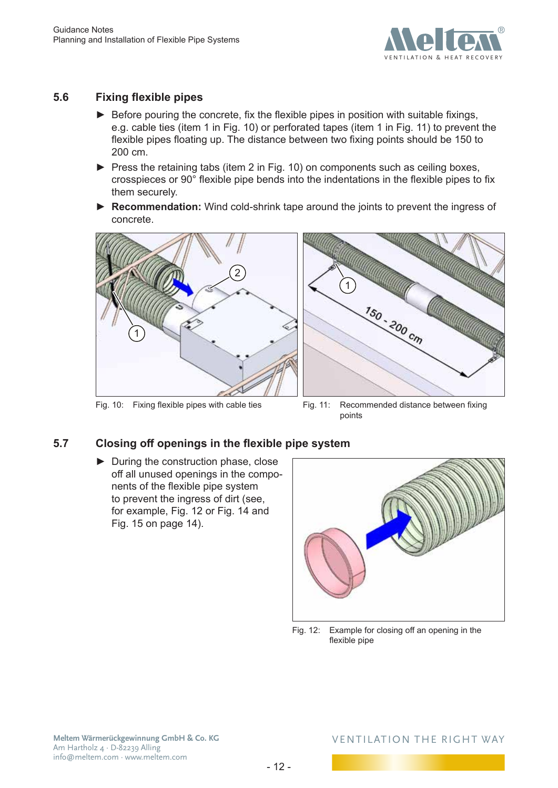

### <span id="page-11-0"></span>**5.6 Fixing flexible pipes**

- ► Before pouring the concrete, fix the flexible pipes in position with suitable fixings, e.g. cable ties (item 1 in [Fig.](#page-11-1) 10) or perforated tapes (item 1 in [Fig.](#page-11-2) 11) to prevent the flexible pipes floating up. The distance between two fixing points should be 150 to 200 cm.
- ► Press the retaining tabs (item 2 in [Fig.](#page-11-1) 10) on components such as ceiling boxes, crosspieces or 90° flexible pipe bends into the indentations in the flexible pipes to fix them securely.
- ► **Recommendation:** Wind cold-shrink tape around the joints to prevent the ingress of concrete.



<span id="page-11-1"></span>Fig. 10: Fixing flexible pipes with cable ties



Fig. 11: Recommended distance between fixing points

### **5.7 Closing off openings in the flexible pipe system**

► During the construction phase, close off all unused openings in the components of the flexible pipe system to prevent the ingress of dirt (see, for example, [Fig.](#page-11-3) 12 or [Fig.](#page-13-2) 14 and [Fig.](#page-13-3) 15 on [page](#page-13-3) 14).

<span id="page-11-2"></span>

<span id="page-11-3"></span>Fig. 12: Example for closing off an opening in the flexible pipe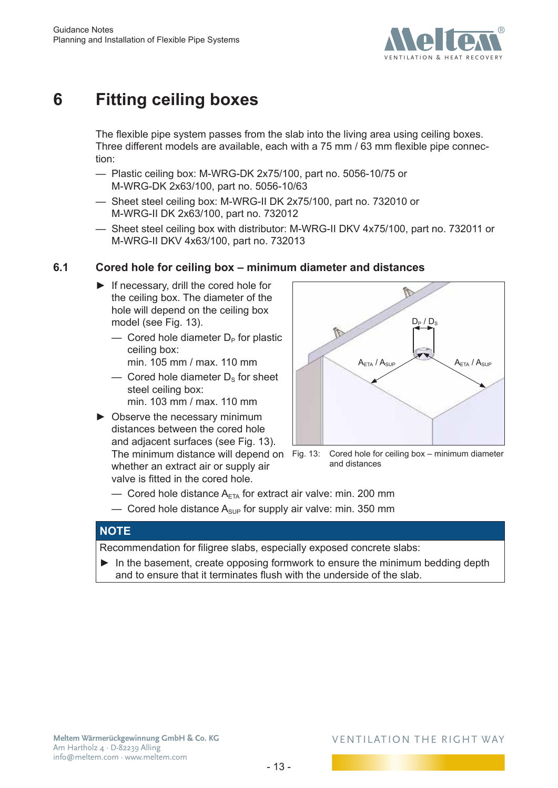

# <span id="page-12-0"></span>**6 Fitting ceiling boxes**

The flexible pipe system passes from the slab into the living area using ceiling boxes. Three different models are available, each with a 75 mm / 63 mm flexible pipe connection:

- Plastic ceiling box: M-WRG-DK 2x75/100, part no. 5056-10/75 or M-WRG-DK 2x63/100, part no. 5056-10/63
- Sheet steel ceiling box: M-WRG-II DK 2x75/100, part no. 732010 or M-WRG-II DK 2x63/100, part no. 732012
- Sheet steel ceiling box with distributor: M-WRG-II DKV 4x75/100, part no. 732011 or M-WRG-II DKV 4x63/100, part no. 732013

### **6.1 Cored hole for ceiling box – minimum diameter and distances**

- ► If necessary, drill the cored hole for the ceiling box. The diameter of the hole will depend on the ceiling box model (see [Fig.](#page-12-1) 13).
	- $\overline{\phantom{a}}$  Cored hole diameter  $D_{\rm P}$  for plastic ceiling box:

min. 105 mm / max. 110 mm

- Cored hole diameter  $D_s$  for sheet steel ceiling box: min. 103 mm / max. 110 mm
- ► Observe the necessary minimum distances between the cored hole and adjacent surfaces (see [Fig.](#page-12-1) 13).

whether an extract air or supply air valve is fitted in the cored hole.

<span id="page-12-1"></span>

The minimum distance will depend on Fig. 13: Cored hole for ceiling box – minimum diameter and distances

- Cored hole distance  $A_{\text{ETA}}$  for extract air valve: min. 200 mm
- $-$  Cored hole distance  $A_{\text{sup}}$  for supply air valve: min. 350 mm

### **NOTE**

Recommendation for filigree slabs, especially exposed concrete slabs:

► In the basement, create opposing formwork to ensure the minimum bedding depth and to ensure that it terminates flush with the underside of the slab.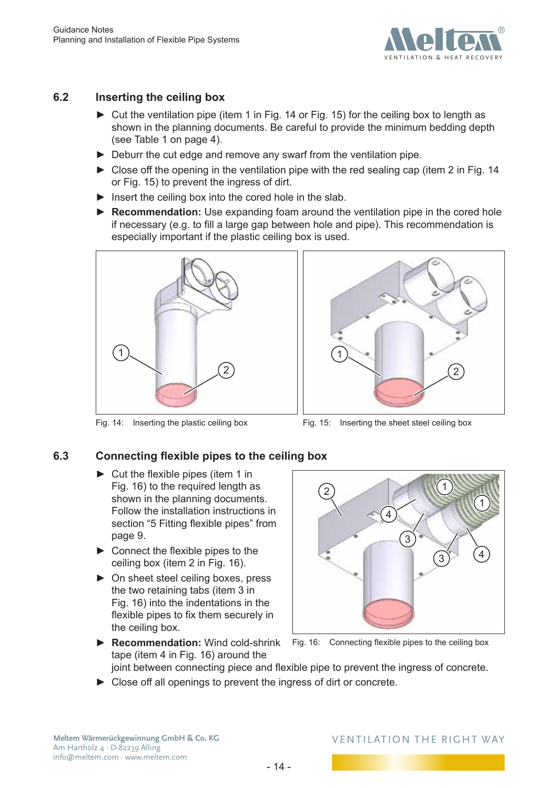

### <span id="page-13-0"></span>**6.2 Inserting the ceiling box**

- ► Cut the ventilation pipe (item 1 in [Fig.](#page-13-2) 14 or [Fig.](#page-13-3) 15) for the ceiling box to length as shown in the planning documents. Be careful to provide the minimum bedding depth (see [Table](#page-3-2) 1 on page 4).
- ► Deburr the cut edge and remove any swarf from the ventilation pipe.
- ► Close off the opening in the ventilation pipe with the red sealing cap (item 2 in [Fig.](#page-13-2) 14 or [Fig.](#page-13-3) 15) to prevent the ingress of dirt.
- $\blacktriangleright$  Insert the ceiling box into the cored hole in the slab.
- ► **Recommendation:** Use expanding foam around the ventilation pipe in the cored hole if necessary (e.g. to fill a large gap between hole and pipe). This recommendation is especially important if the plastic ceiling box is used.



Fig. 14: Inserting the plastic ceiling box



<span id="page-13-3"></span>Fig. 15: Inserting the sheet steel ceiling box

## **6.3 Connecting flexible pipes to the ceiling box**

- <span id="page-13-2"></span><span id="page-13-1"></span> $\blacktriangleright$  Cut the flexible pipes (item 1 in [Fig.](#page-13-4) 16) to the required length as shown in the planning documents. Follow the installation instructions in section "5 Fitting [flexible](#page-8-2) pipes" from [page](#page-8-2) 9.
- $\blacktriangleright$  Connect the flexible pipes to the ceiling box (item 2 in [Fig.](#page-13-4) 16).
- ► On sheet steel ceiling boxes, press the two retaining tabs (item 3 in [Fig.](#page-13-4) 16) into the indentations in the flexible pipes to fix them securely in the ceiling box.

<span id="page-13-4"></span>

- ▶ **Recommendation:** Wind cold-shrink Fig. 16: Connecting flexible pipes to the ceiling box tape (item 4 in [Fig.](#page-13-4) 16) around the joint between connecting piece and flexible pipe to prevent the ingress of concrete.
- ► Close off all openings to prevent the ingress of dirt or concrete.

**Meltem Wärmerückgewinnung GmbH & Co. KG** Am Hartholz 4 · D-82239 Alling info@meltem.com · www.meltem.com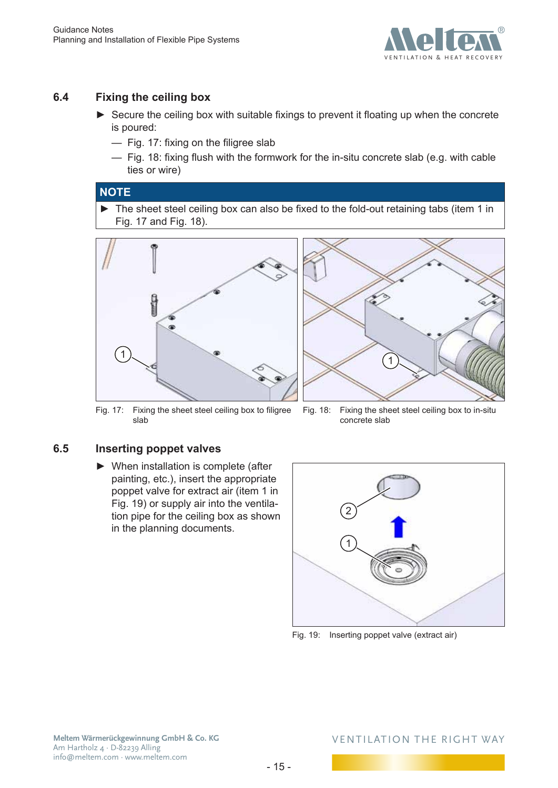

### <span id="page-14-0"></span>**6.4 Fixing the ceiling box**

- <span id="page-14-1"></span>► Secure the ceiling box with suitable fixings to prevent it floating up when the concrete is poured:
	- [Fig.](#page-14-2) 17: fixing on the filigree slab
	- [Fig.](#page-14-3) 18: fixing flush with the formwork for the in-situ concrete slab (e.g. with cable ties or wire)

#### **NOTE**

► The sheet steel ceiling box can also be fixed to the fold-out retaining tabs (item 1 in [Fig.](#page-14-2) 17 and [Fig.](#page-14-3) 18).





Fig. 17: Fixing the sheet steel ceiling box to filigree slab

<span id="page-14-3"></span>Fig. 18: Fixing the sheet steel ceiling box to in-situ concrete slab

### **6.5 Inserting poppet valves**

<span id="page-14-2"></span>► When installation is complete (after painting, etc.), insert the appropriate poppet valve for extract air (item 1 in [Fig.](#page-14-4) 19) or supply air into the ventilation pipe for the ceiling box as shown in the planning documents.

<span id="page-14-4"></span>

Fig. 19: Inserting poppet valve (extract air)